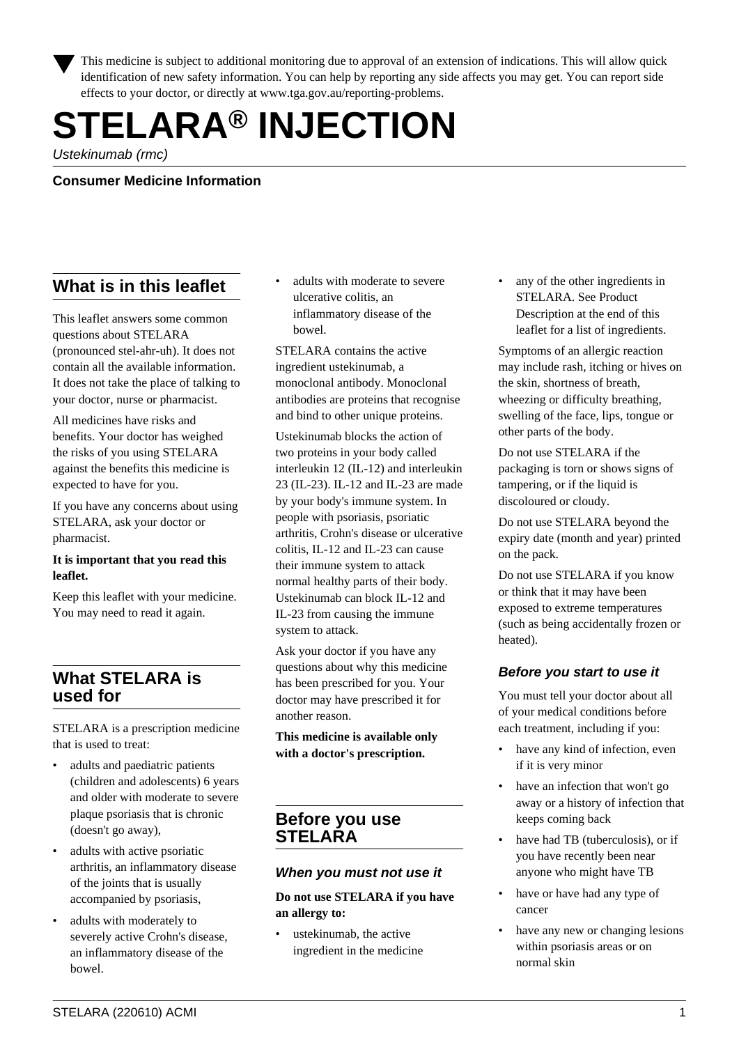This medicine is subject to additional monitoring due to approval of an extension of indications. This will allow quick identification of new safety information. You can help by reporting any side affects you may get. You can report side effects to your doctor, or directly at www.tga.gov.au/reporting-problems.

# **STELARA® INJECTION**

Ustekinumab (rmc)

**Consumer Medicine Information**

# **What is in this leaflet**

This leaflet answers some common questions about STELARA (pronounced stel-ahr-uh). It does not contain all the available information. It does not take the place of talking to your doctor, nurse or pharmacist.

All medicines have risks and benefits. Your doctor has weighed the risks of you using STELARA against the benefits this medicine is expected to have for you.

If you have any concerns about using STELARA, ask your doctor or pharmacist.

#### **It is important that you read this leaflet.**

Keep this leaflet with your medicine. You may need to read it again.

## **What STELARA is used for**

STELARA is a prescription medicine that is used to treat:

- adults and paediatric patients (children and adolescents) 6 years and older with moderate to severe plaque psoriasis that is chronic (doesn't go away),
- adults with active psoriatic arthritis, an inflammatory disease of the joints that is usually accompanied by psoriasis,
- adults with moderately to severely active Crohn's disease, an inflammatory disease of the bowel.

adults with moderate to severe ulcerative colitis, an inflammatory disease of the bowel.

STELARA contains the active ingredient ustekinumab, a monoclonal antibody. Monoclonal antibodies are proteins that recognise and bind to other unique proteins.

Ustekinumab blocks the action of two proteins in your body called interleukin 12 (IL-12) and interleukin 23 (IL-23). IL-12 and IL-23 are made by your body's immune system. In people with psoriasis, psoriatic arthritis, Crohn's disease or ulcerative colitis, IL-12 and IL-23 can cause their immune system to attack normal healthy parts of their body. Ustekinumab can block IL-12 and IL-23 from causing the immune system to attack.

Ask your doctor if you have any questions about why this medicine has been prescribed for you. Your doctor may have prescribed it for another reason.

**This medicine is available only with a doctor's prescription.**

## **Before you use STELARA**

## **When you must not use it**

#### **Do not use STELARA if you have an allergy to:**

ustekinumab, the active ingredient in the medicine any of the other ingredients in STELARA. See Product Description at the end of this leaflet for a list of ingredients.

Symptoms of an allergic reaction may include rash, itching or hives on the skin, shortness of breath, wheezing or difficulty breathing, swelling of the face, lips, tongue or other parts of the body.

Do not use STELARA if the packaging is torn or shows signs of tampering, or if the liquid is discoloured or cloudy.

Do not use STELARA beyond the expiry date (month and year) printed on the pack.

Do not use STELARA if you know or think that it may have been exposed to extreme temperatures (such as being accidentally frozen or heated).

## **Before you start to use it**

You must tell your doctor about all of your medical conditions before each treatment, including if you:

- have any kind of infection, even if it is very minor
- have an infection that won't go away or a history of infection that keeps coming back
- have had TB (tuberculosis), or if you have recently been near anyone who might have TB
- have or have had any type of cancer
- have any new or changing lesions within psoriasis areas or on normal skin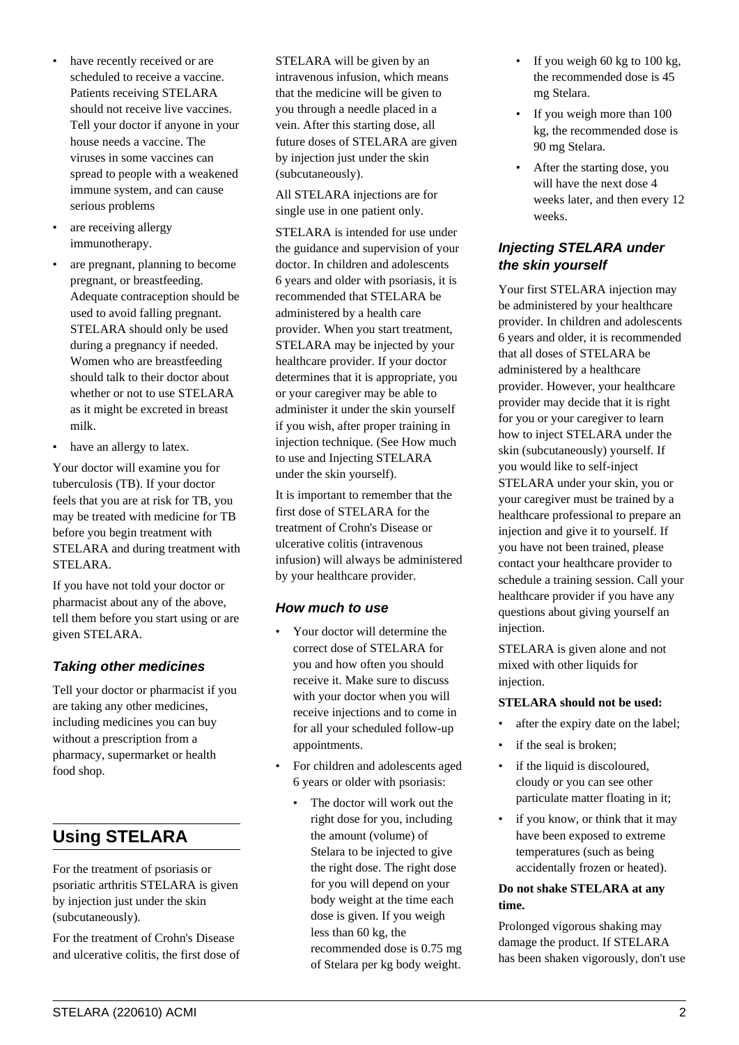- have recently received or are scheduled to receive a vaccine. Patients receiving STELARA should not receive live vaccines. Tell your doctor if anyone in your house needs a vaccine. The viruses in some vaccines can spread to people with a weakened immune system, and can cause serious problems
- are receiving allergy immunotherapy.
- are pregnant, planning to become pregnant, or breastfeeding. Adequate contraception should be used to avoid falling pregnant. STELARA should only be used during a pregnancy if needed. Women who are breastfeeding should talk to their doctor about whether or not to use STELARA as it might be excreted in breast milk.
- have an allergy to latex.

Your doctor will examine you for tuberculosis (TB). If your doctor feels that you are at risk for TB, you may be treated with medicine for TB before you begin treatment with STELARA and during treatment with STELARA.

If you have not told your doctor or pharmacist about any of the above, tell them before you start using or are given STELARA.

## **Taking other medicines**

Tell your doctor or pharmacist if you are taking any other medicines, including medicines you can buy without a prescription from a pharmacy, supermarket or health food shop.

# **Using STELARA**

For the treatment of psoriasis or psoriatic arthritis STELARA is given by injection just under the skin (subcutaneously).

For the treatment of Crohn's Disease and ulcerative colitis, the first dose of STELARA will be given by an intravenous infusion, which means that the medicine will be given to you through a needle placed in a vein. After this starting dose, all future doses of STELARA are given by injection just under the skin (subcutaneously).

All STELARA injections are for single use in one patient only.

STELARA is intended for use under the guidance and supervision of your doctor. In children and adolescents 6 years and older with psoriasis, it is recommended that STELARA be administered by a health care provider. When you start treatment, STELARA may be injected by your healthcare provider. If your doctor determines that it is appropriate, you or your caregiver may be able to administer it under the skin yourself if you wish, after proper training in injection technique. (See How much to use and Injecting STELARA under the skin yourself).

It is important to remember that the first dose of STELARA for the treatment of Crohn's Disease or ulcerative colitis (intravenous infusion) will always be administered by your healthcare provider.

## **How much to use**

- Your doctor will determine the correct dose of STELARA for you and how often you should receive it. Make sure to discuss with your doctor when you will receive injections and to come in for all your scheduled follow-up appointments.
- For children and adolescents aged 6 years or older with psoriasis:
	- The doctor will work out the right dose for you, including the amount (volume) of Stelara to be injected to give the right dose. The right dose for you will depend on your body weight at the time each dose is given. If you weigh less than 60 kg, the recommended dose is 0.75 mg of Stelara per kg body weight.
- If you weigh 60 kg to 100 kg, the recommended dose is 45 mg Stelara.
- If you weigh more than 100 kg, the recommended dose is 90 mg Stelara.
- After the starting dose, you will have the next dose 4 weeks later, and then every 12 weeks.

## **Injecting STELARA under the skin yourself**

Your first STELARA injection may be administered by your healthcare provider. In children and adolescents 6 years and older, it is recommended that all doses of STELARA be administered by a healthcare provider. However, your healthcare provider may decide that it is right for you or your caregiver to learn how to inject STELARA under the skin (subcutaneously) yourself. If you would like to self-inject STELARA under your skin, you or your caregiver must be trained by a healthcare professional to prepare an injection and give it to yourself. If you have not been trained, please contact your healthcare provider to schedule a training session. Call your healthcare provider if you have any questions about giving yourself an injection.

STELARA is given alone and not mixed with other liquids for injection.

## **STELARA should not be used:**

- after the expiry date on the label;
- if the seal is broken;
- if the liquid is discoloured, cloudy or you can see other particulate matter floating in it;
- if you know, or think that it may have been exposed to extreme temperatures (such as being accidentally frozen or heated).

#### **Do not shake STELARA at any time.**

Prolonged vigorous shaking may damage the product. If STELARA has been shaken vigorously, don't use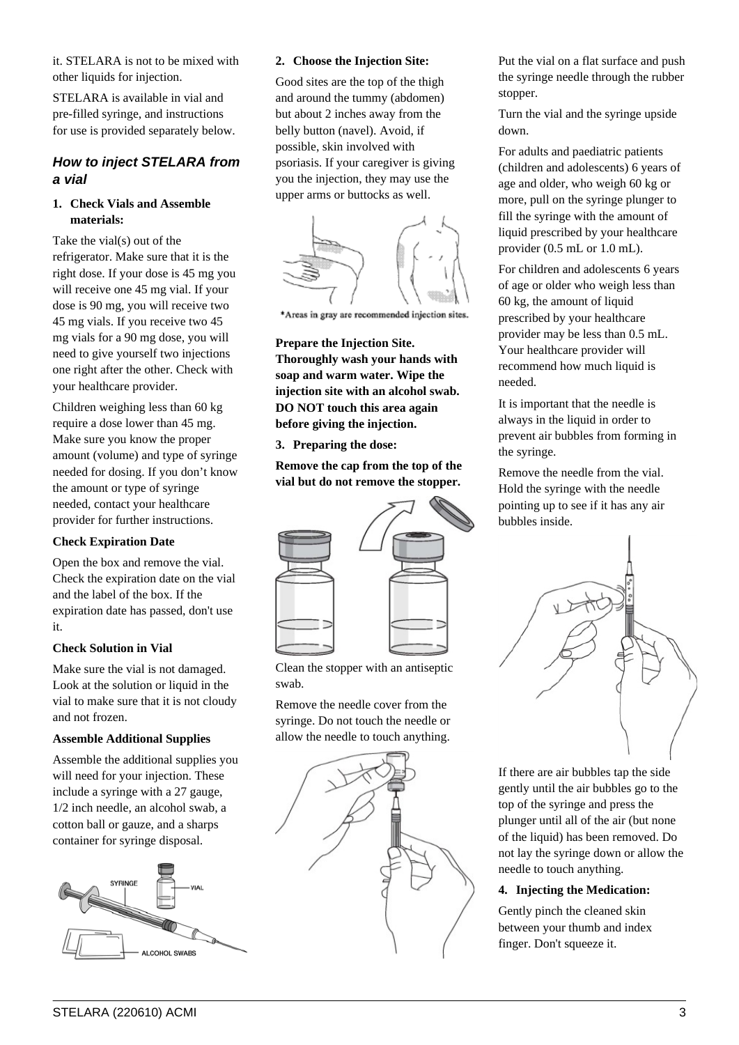it. STELARA is not to be mixed with other liquids for injection.

STELARA is available in vial and pre-filled syringe, and instructions for use is provided separately below.

## **How to inject STELARA from a vial**

#### **1. Check Vials and Assemble materials:**

Take the vial(s) out of the refrigerator. Make sure that it is the right dose. If your dose is 45 mg you will receive one 45 mg vial. If your dose is 90 mg, you will receive two 45 mg vials. If you receive two 45 mg vials for a 90 mg dose, you will need to give yourself two injections one right after the other. Check with your healthcare provider.

Children weighing less than 60 kg require a dose lower than 45 mg. Make sure you know the proper amount (volume) and type of syringe needed for dosing. If you don't know the amount or type of syringe needed, contact your healthcare provider for further instructions.

#### **Check Expiration Date**

Open the box and remove the vial. Check the expiration date on the vial and the label of the box. If the expiration date has passed, don't use it.

## **Check Solution in Vial**

Make sure the vial is not damaged. Look at the solution or liquid in the vial to make sure that it is not cloudy and not frozen.

#### **Assemble Additional Supplies**

Assemble the additional supplies you will need for your injection. These include a syringe with a 27 gauge, 1/2 inch needle, an alcohol swab, a cotton ball or gauze, and a sharps container for syringe disposal.



#### **2. Choose the Injection Site:**

Good sites are the top of the thigh and around the tummy (abdomen) but about 2 inches away from the belly button (navel). Avoid, if possible, skin involved with psoriasis. If your caregiver is giving you the injection, they may use the upper arms or buttocks as well.



\*Areas in gray are recommended injection sites.

#### **Prepare the Injection Site.**

**Thoroughly wash your hands with soap and warm water. Wipe the injection site with an alcohol swab. DO NOT touch this area again before giving the injection.**

**3. Preparing the dose:**

**Remove the cap from the top of the vial but do not remove the stopper.**



Clean the stopper with an antiseptic swab.

Remove the needle cover from the syringe. Do not touch the needle or allow the needle to touch anything.



Put the vial on a flat surface and push the syringe needle through the rubber stopper.

Turn the vial and the syringe upside down.

For adults and paediatric patients (children and adolescents) 6 years of age and older, who weigh 60 kg or more, pull on the syringe plunger to fill the syringe with the amount of liquid prescribed by your healthcare provider (0.5 mL or 1.0 mL).

For children and adolescents 6 years of age or older who weigh less than 60 kg, the amount of liquid prescribed by your healthcare provider may be less than 0.5 mL. Your healthcare provider will recommend how much liquid is needed.

It is important that the needle is always in the liquid in order to prevent air bubbles from forming in the syringe.

Remove the needle from the vial. Hold the syringe with the needle pointing up to see if it has any air bubbles inside.



If there are air bubbles tap the side gently until the air bubbles go to the top of the syringe and press the plunger until all of the air (but none of the liquid) has been removed. Do not lay the syringe down or allow the needle to touch anything.

#### **4. Injecting the Medication:**

Gently pinch the cleaned skin between your thumb and index finger. Don't squeeze it.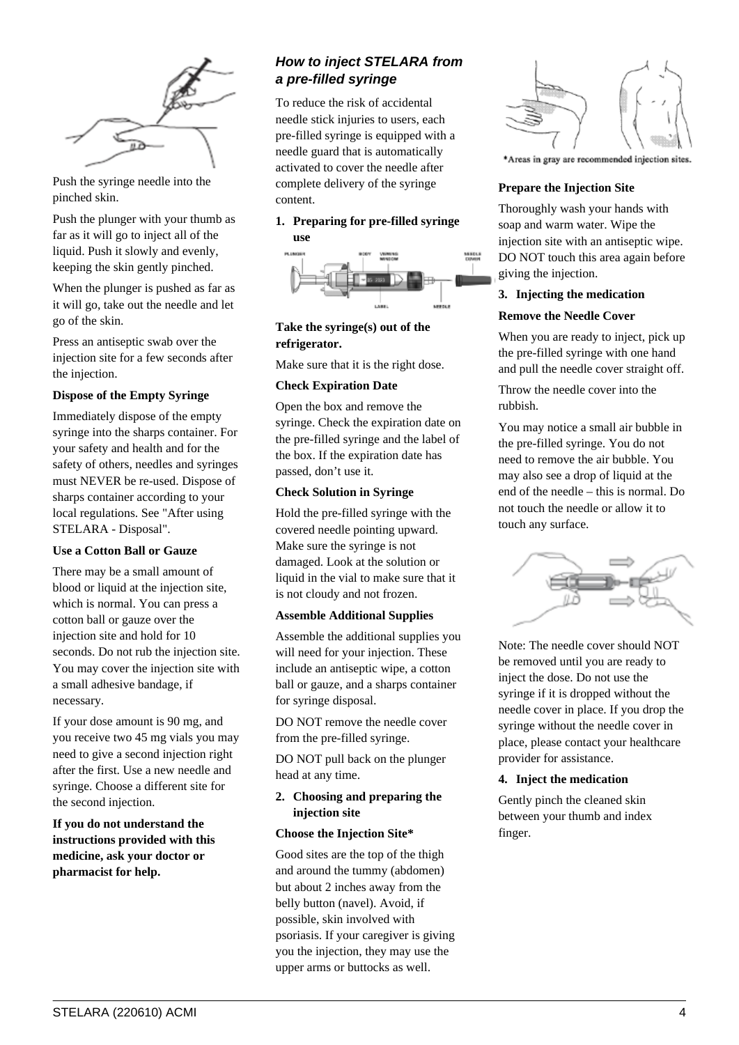

Push the syringe needle into the pinched skin.

Push the plunger with your thumb as far as it will go to inject all of the liquid. Push it slowly and evenly, keeping the skin gently pinched.

When the plunger is pushed as far as it will go, take out the needle and let go of the skin.

Press an antiseptic swab over the injection site for a few seconds after the injection.

#### **Dispose of the Empty Syringe**

Immediately dispose of the empty syringe into the sharps container. For your safety and health and for the safety of others, needles and syringes must NEVER be re-used. Dispose of sharps container according to your local regulations. See "After using STELARA - Disposal".

#### **Use a Cotton Ball or Gauze**

There may be a small amount of blood or liquid at the injection site, which is normal. You can press a cotton ball or gauze over the injection site and hold for 10 seconds. Do not rub the injection site. You may cover the injection site with a small adhesive bandage, if necessary.

If your dose amount is 90 mg, and you receive two 45 mg vials you may need to give a second injection right after the first. Use a new needle and syringe. Choose a different site for the second injection.

**If you do not understand the instructions provided with this medicine, ask your doctor or pharmacist for help.**

## **How to inject STELARA from a pre-filled syringe**

To reduce the risk of accidental needle stick injuries to users, each pre-filled syringe is equipped with a needle guard that is automatically activated to cover the needle after complete delivery of the syringe content.

#### **1. Preparing for pre-filled syringe use**



**Take the syringe(s) out of the refrigerator.**

Make sure that it is the right dose.

#### **Check Expiration Date**

Open the box and remove the syringe. Check the expiration date on the pre-filled syringe and the label of the box. If the expiration date has passed, don't use it.

#### **Check Solution in Syringe**

Hold the pre-filled syringe with the covered needle pointing upward. Make sure the syringe is not damaged. Look at the solution or liquid in the vial to make sure that it is not cloudy and not frozen.

#### **Assemble Additional Supplies**

Assemble the additional supplies you will need for your injection. These include an antiseptic wipe, a cotton ball or gauze, and a sharps container for syringe disposal.

DO NOT remove the needle cover from the pre-filled syringe.

DO NOT pull back on the plunger head at any time.

#### **2. Choosing and preparing the injection site**

#### **Choose the Injection Site\***

Good sites are the top of the thigh and around the tummy (abdomen) but about 2 inches away from the belly button (navel). Avoid, if possible, skin involved with psoriasis. If your caregiver is giving you the injection, they may use the upper arms or buttocks as well.



\*Areas in gray are recommended injection sites.

#### **Prepare the Injection Site**

Thoroughly wash your hands with soap and warm water. Wipe the injection site with an antiseptic wipe. DO NOT touch this area again before giving the injection.

#### **3. Injecting the medication**

#### **Remove the Needle Cover**

When you are ready to inject, pick up the pre-filled syringe with one hand and pull the needle cover straight off.

Throw the needle cover into the rubbish.

You may notice a small air bubble in the pre-filled syringe. You do not need to remove the air bubble. You may also see a drop of liquid at the end of the needle – this is normal. Do not touch the needle or allow it to touch any surface.



Note: The needle cover should NOT be removed until you are ready to inject the dose. Do not use the syringe if it is dropped without the needle cover in place. If you drop the syringe without the needle cover in place, please contact your healthcare provider for assistance.

#### **4. Inject the medication**

Gently pinch the cleaned skin between your thumb and index finger.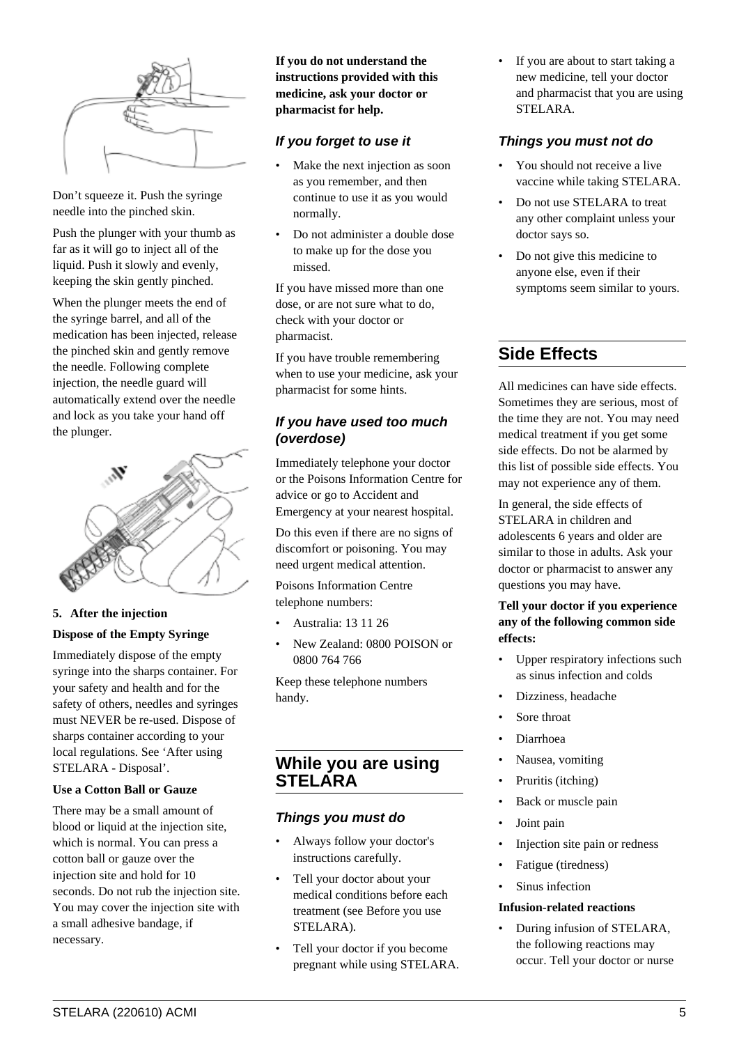

Don't squeeze it. Push the syringe needle into the pinched skin.

Push the plunger with your thumb as far as it will go to inject all of the liquid. Push it slowly and evenly, keeping the skin gently pinched.

When the plunger meets the end of the syringe barrel, and all of the medication has been injected, release the pinched skin and gently remove the needle. Following complete injection, the needle guard will automatically extend over the needle and lock as you take your hand off the plunger.



#### **5. After the injection**

#### **Dispose of the Empty Syringe**

Immediately dispose of the empty syringe into the sharps container. For your safety and health and for the safety of others, needles and syringes must NEVER be re-used. Dispose of sharps container according to your local regulations. See 'After using STELARA - Disposal'.

#### **Use a Cotton Ball or Gauze**

There may be a small amount of blood or liquid at the injection site, which is normal. You can press a cotton ball or gauze over the injection site and hold for 10 seconds. Do not rub the injection site. You may cover the injection site with a small adhesive bandage, if necessary.

**If you do not understand the instructions provided with this medicine, ask your doctor or pharmacist for help.**

## **If you forget to use it**

- Make the next injection as soon as you remember, and then continue to use it as you would normally.
- Do not administer a double dose to make up for the dose you missed.

If you have missed more than one dose, or are not sure what to do, check with your doctor or pharmacist.

If you have trouble remembering when to use your medicine, ask your pharmacist for some hints.

## **If you have used too much (overdose)**

Immediately telephone your doctor or the Poisons Information Centre for advice or go to Accident and Emergency at your nearest hospital.

Do this even if there are no signs of discomfort or poisoning. You may need urgent medical attention.

Poisons Information Centre telephone numbers:

- Australia: 13 11 26
- New Zealand: 0800 POISON or 0800 764 766

Keep these telephone numbers handy.

## **While you are using STELARA**

## **Things you must do**

- Always follow your doctor's instructions carefully.
- Tell your doctor about your medical conditions before each treatment (see Before you use STELARA).
- Tell your doctor if you become pregnant while using STELARA.

If you are about to start taking a new medicine, tell your doctor and pharmacist that you are using STELARA.

#### **Things you must not do**

- You should not receive a live vaccine while taking STELARA.
- Do not use STELARA to treat any other complaint unless your doctor says so.
- Do not give this medicine to anyone else, even if their symptoms seem similar to yours.

# **Side Effects**

All medicines can have side effects. Sometimes they are serious, most of the time they are not. You may need medical treatment if you get some side effects. Do not be alarmed by this list of possible side effects. You may not experience any of them.

In general, the side effects of STELARA in children and adolescents 6 years and older are similar to those in adults. Ask your doctor or pharmacist to answer any questions you may have.

## **Tell your doctor if you experience any of the following common side effects:**

- Upper respiratory infections such as sinus infection and colds
- Dizziness, headache
- Sore throat
- Diarrhoea
- Nausea, vomiting
- Pruritis (itching)
- Back or muscle pain
- Joint pain
- Injection site pain or redness
- Fatigue (tiredness)
- Sinus infection

#### **Infusion-related reactions**

• During infusion of STELARA, the following reactions may occur. Tell your doctor or nurse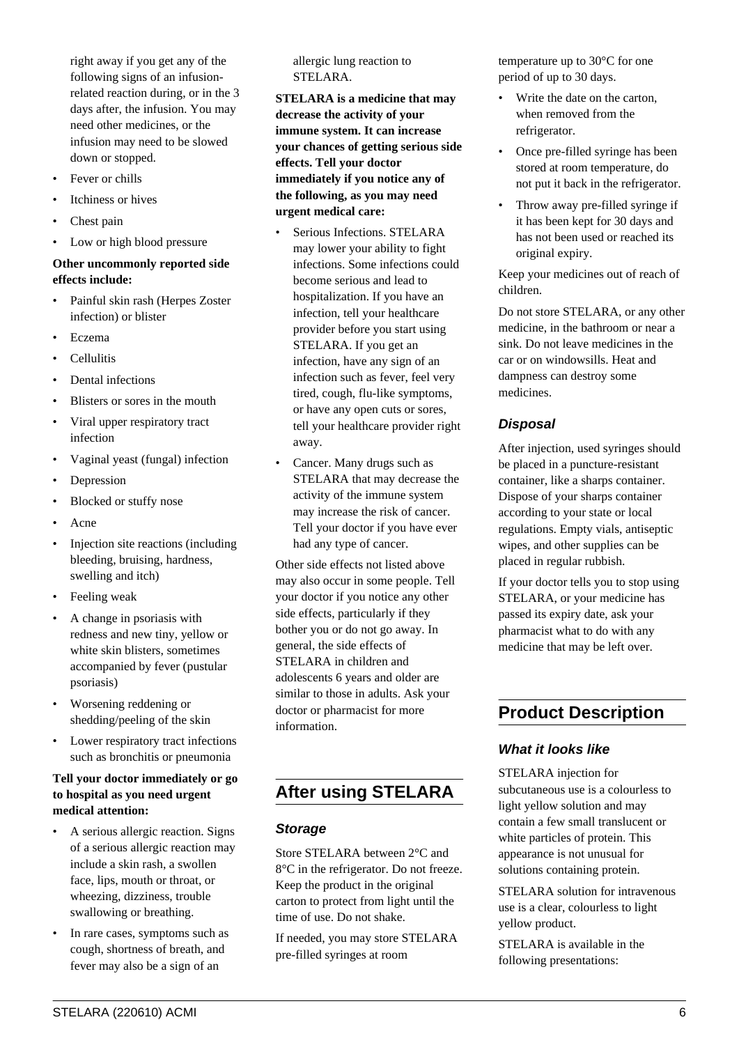right away if you get any of the following signs of an infusionrelated reaction during, or in the 3 days after, the infusion. You may need other medicines, or the infusion may need to be slowed down or stopped.

- Fever or chills
- Itchiness or hives
- Chest pain
- Low or high blood pressure

#### **Other uncommonly reported side effects include:**

- Painful skin rash (Herpes Zoster infection) or blister
- Eczema
- Cellulitis
- Dental infections
- Blisters or sores in the mouth
- Viral upper respiratory tract infection
- Vaginal yeast (fungal) infection
- **Depression**
- Blocked or stuffy nose
- Acne
- Injection site reactions (including bleeding, bruising, hardness, swelling and itch)
- Feeling weak
- A change in psoriasis with redness and new tiny, yellow or white skin blisters, sometimes accompanied by fever (pustular psoriasis)
- Worsening reddening or shedding/peeling of the skin
- Lower respiratory tract infections such as bronchitis or pneumonia

#### **Tell your doctor immediately or go to hospital as you need urgent medical attention:**

- A serious allergic reaction. Signs of a serious allergic reaction may include a skin rash, a swollen face, lips, mouth or throat, or wheezing, dizziness, trouble swallowing or breathing.
- In rare cases, symptoms such as cough, shortness of breath, and fever may also be a sign of an

allergic lung reaction to STELARA.

**STELARA is a medicine that may decrease the activity of your immune system. It can increase your chances of getting serious side effects. Tell your doctor immediately if you notice any of the following, as you may need urgent medical care:**

- Serious Infections. STELARA may lower your ability to fight infections. Some infections could become serious and lead to hospitalization. If you have an infection, tell your healthcare provider before you start using STELARA. If you get an infection, have any sign of an infection such as fever, feel very tired, cough, flu-like symptoms, or have any open cuts or sores, tell your healthcare provider right away.
- Cancer. Many drugs such as STELARA that may decrease the activity of the immune system may increase the risk of cancer. Tell your doctor if you have ever had any type of cancer.

Other side effects not listed above may also occur in some people. Tell your doctor if you notice any other side effects, particularly if they bother you or do not go away. In general, the side effects of STELARA in children and adolescents 6 years and older are similar to those in adults. Ask your doctor or pharmacist for more information.

# **After using STELARA**

#### **Storage**

Store STELARA between 2°C and 8°C in the refrigerator. Do not freeze. Keep the product in the original carton to protect from light until the time of use. Do not shake.

If needed, you may store STELARA pre-filled syringes at room

temperature up to 30°C for one period of up to 30 days.

- Write the date on the carton, when removed from the refrigerator.
- Once pre-filled syringe has been stored at room temperature, do not put it back in the refrigerator.
- Throw away pre-filled syringe if it has been kept for 30 days and has not been used or reached its original expiry.

Keep your medicines out of reach of children.

Do not store STELARA, or any other medicine, in the bathroom or near a sink. Do not leave medicines in the car or on windowsills. Heat and dampness can destroy some medicines.

## **Disposal**

After injection, used syringes should be placed in a puncture-resistant container, like a sharps container. Dispose of your sharps container according to your state or local regulations. Empty vials, antiseptic wipes, and other supplies can be placed in regular rubbish.

If your doctor tells you to stop using STELARA, or your medicine has passed its expiry date, ask your pharmacist what to do with any medicine that may be left over.

# **Product Description**

## **What it looks like**

STELARA injection for subcutaneous use is a colourless to light yellow solution and may contain a few small translucent or white particles of protein. This appearance is not unusual for solutions containing protein.

STELARA solution for intravenous use is a clear, colourless to light yellow product.

STELARA is available in the following presentations: